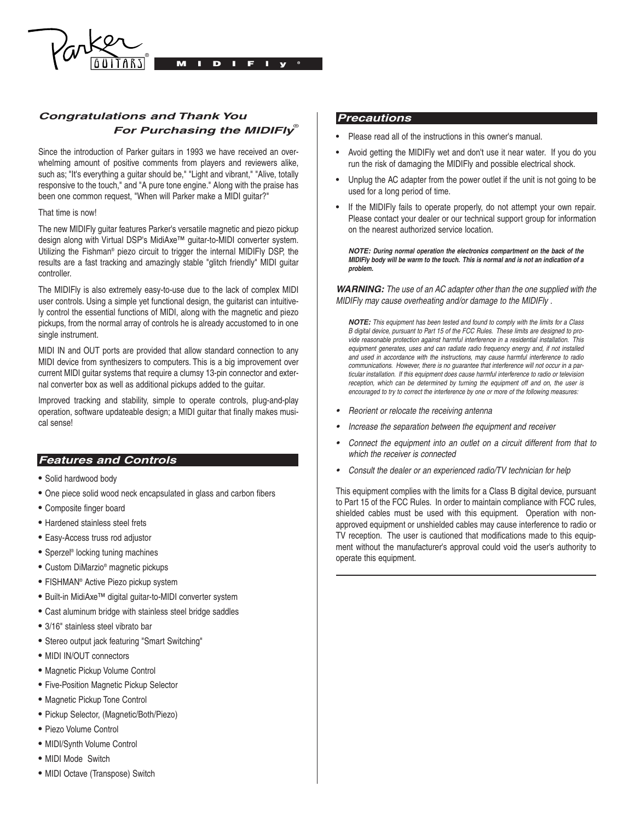

# **Congratulations and Thank You For Purchasing the MIDIFIY**

Since the introduction of Parker guitars in 1993 we have received an overwhelming amount of positive comments from players and reviewers alike, such as; "It's everything a guitar should be," "Light and vibrant," "Alive, totally responsive to the touch," and "A pure tone engine." Along with the praise has been one common request, "When will Parker make a MIDI guitar?"

#### That time is now!

The new MIDIFly guitar features Parker's versatile magnetic and piezo pickup design along with Virtual DSP's MidiAxe™ guitar-to-MIDI converter system. Utilizing the Fishman® piezo circuit to trigger the internal MIDIFly DSP, the results are a fast tracking and amazingly stable "glitch friendly" MIDI guitar controller.

The MIDIFly is also extremely easy-to-use due to the lack of complex MIDI user controls. Using a simple yet functional design, the guitarist can intuitively control the essential functions of MIDI, along with the magnetic and piezo pickups, from the normal array of controls he is already accustomed to in one single instrument.

MIDI IN and OUT ports are provided that allow standard connection to any MIDI device from synthesizers to computers. This is a big improvement over current MIDI guitar systems that require a clumsy 13-pin connector and external converter box as well as additional pickups added to the guitar.

Improved tracking and stability, simple to operate controls, plug-and-play operation, software updateable design; a MIDI guitar that finally makes musical sense!

# **Features and Controls Features and Controls**

- Solid hardwood body
- One piece solid wood neck encapsulated in glass and carbon fibers
- Composite finger board
- Hardened stainless steel frets
- Easy-Access truss rod adjustor
- Sperzel® locking tuning machines
- Custom DiMarzio® magnetic pickups
- FISHMAN® Active Piezo pickup system
- Built-in MidiAxe™ digital guitar-to-MIDI converter system
- Cast aluminum bridge with stainless steel bridge saddles
- 3/16" stainless steel vibrato bar
- Stereo output jack featuring "Smart Switching"
- MIDI IN/OUT connectors
- Magnetic Pickup Volume Control
- Five-Position Magnetic Pickup Selector
- Magnetic Pickup Tone Control
- Pickup Selector, (Magnetic/Both/Piezo)
- Piezo Volume Control
- MIDI/Synth Volume Control
- MIDI Mode Switch
- MIDI Octave (Transpose) Switch

## **Precautions: Precautions**

- Please read all of the instructions in this owner's manual.
- Avoid getting the MIDIFly wet and don't use it near water. If you do you run the risk of damaging the MIDIFly and possible electrical shock.
- Unplug the AC adapter from the power outlet if the unit is not going to be used for a long period of time.
- If the MIDIFly fails to operate properly, do not attempt your own repair. Please contact your dealer or our technical support group for information on the nearest authorized service location.

**NOTE: During normal operation the electronics compartment on the back of the MIDIFly body will be warm to the touch. This is normal and is not an indication of a problem.**

**WARNING:** The use of an AC adapter other than the one supplied with the MIDIFly may cause overheating and/or damage to the MIDIFly .

**NOTE:** This equipment has been tested and found to comply with the limits for a Class B digital device, pursuant to Part 15 of the FCC Rules. These limits are designed to provide reasonable protection against harmful interference in a residential installation. This equipment generates, uses and can radiate radio frequency energy and, if not installed and used in accordance with the instructions, may cause harmful interference to radio communications. However, there is no guarantee that interference will not occur in a particular installation. If this equipment does cause harmful interference to radio or television reception, which can be determined by turning the equipment off and on, the user is encouraged to try to correct the interference by one or more of the following measures:

- •Reorient or relocate the receiving antenna
- •Increase the separation between the equipment and receiver
- • Connect the equipment into an outlet on a circuit different from that to which the receiver is connected
- •Consult the dealer or an experienced radio/TV technician for help

This equipment complies with the limits for a Class B digital device, pursuant to Part 15 of the FCC Rules. In order to maintain compliance with FCC rules, shielded cables must be used with this equipment. Operation with nonapproved equipment or unshielded cables may cause interference to radio or TV reception. The user is cautioned that modifications made to this equipment without the manufacturer's approval could void the user's authority to operate this equipment.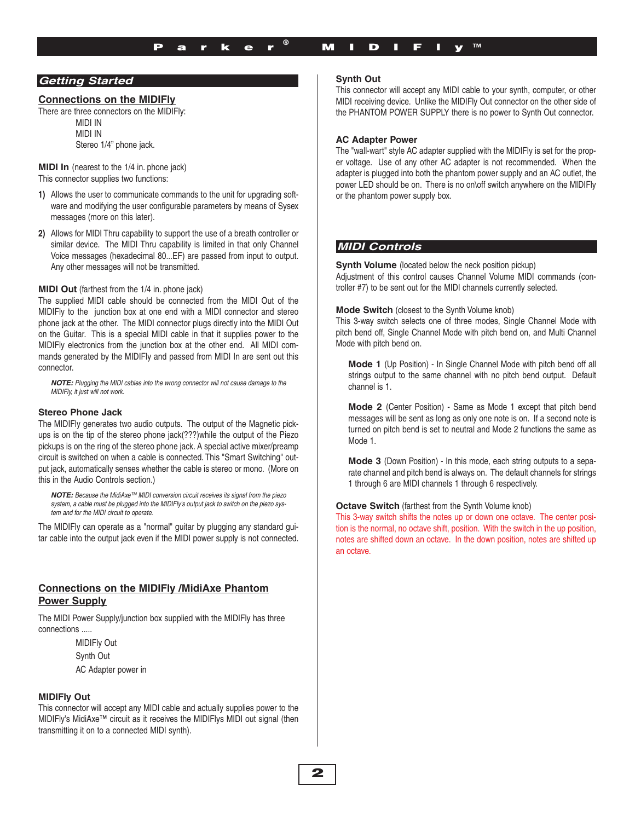## **Getting Started Getting Started**

#### **Connections on the MIDIFly**

There are three connectors on the MIDIFly:

MIDI IN MIDI IN Stereo 1/4" phone jack.

**MIDI In** (nearest to the 1/4 in. phone jack) This connector supplies two functions:

- **1)** Allows the user to communicate commands to the unit for upgrading software and modifying the user configurable parameters by means of Sysex messages (more on this later).
- **2)** Allows for MIDI Thru capability to support the use of a breath controller or similar device. The MIDI Thru capability is limited in that only Channel Voice messages (hexadecimal 80...EF) are passed from input to output. Any other messages will not be transmitted.

#### **MIDI Out** (farthest from the 1/4 in. phone jack)

The supplied MIDI cable should be connected from the MIDI Out of the MIDIFly to the junction box at one end with a MIDI connector and stereo phone jack at the other. The MIDI connector plugs directly into the MIDI Out on the Guitar. This is a special MIDI cable in that it supplies power to the MIDIFly electronics from the junction box at the other end. All MIDI commands generated by the MIDIFly and passed from MIDI In are sent out this connector.

**NOTE:** Plugging the MIDI cables into the wrong connector will not cause damage to the MIDIFly, it just will not work.

#### **Stereo Phone Jack**

The MIDIFly generates two audio outputs. The output of the Magnetic pickups is on the tip of the stereo phone jack(???)while the output of the Piezo pickups is on the ring of the stereo phone jack. A special active mixer/preamp circuit is switched on when a cable is connected. This "Smart Switching" output jack, automatically senses whether the cable is stereo or mono. (More on this in the Audio Controls section.)

**NOTE:** Because the MidiAxe™ MIDI conversion circuit receives its signal from the piezo system, a cable must be plugged into the MIDIFly's output jack to switch on the piezo system and for the MIDI circuit to operate.

The MIDIFly can operate as a "normal" guitar by plugging any standard guitar cable into the output jack even if the MIDI power supply is not connected.

## **Connections on the MIDIFly /MidiAxe Phantom Power Supply**

The MIDI Power Supply/junction box supplied with the MIDIFly has three connections .....

> MIDIFly Out Synth Out AC Adapter power in

#### **MIDIFly Out**

This connector will accept any MIDI cable and actually supplies power to the MIDIFly's MidiAxe™ circuit as it receives the MIDIFlys MIDI out signal (then transmitting it on to a connected MIDI synth).

#### **Synth Out**

This connector will accept any MIDI cable to your synth, computer, or other MIDI receiving device. Unlike the MIDIFly Out connector on the other side of the PHANTOM POWER SUPPLY there is no power to Synth Out connector.

#### **AC Adapter Power**

The "wall-wart" style AC adapter supplied with the MIDIFly is set for the proper voltage. Use of any other AC adapter is not recommended. When the adapter is plugged into both the phantom power supply and an AC outlet, the power LED should be on. There is no on\off switch anywhere on the MIDIFly or the phantom power supply box.

#### **MIDI Controls: MIDI Controls**

**Synth Volume** (located below the neck position pickup) Adjustment of this control causes Channel Volume MIDI commands (controller #7) to be sent out for the MIDI channels currently selected.

#### **Mode Switch** (closest to the Synth Volume knob)

This 3-way switch selects one of three modes, Single Channel Mode with pitch bend off, Single Channel Mode with pitch bend on, and Multi Channel Mode with pitch bend on.

**Mode 1** (Up Position) - In Single Channel Mode with pitch bend off all strings output to the same channel with no pitch bend output. Default channel is 1.

**Mode 2** (Center Position) - Same as Mode 1 except that pitch bend messages will be sent as long as only one note is on. If a second note is turned on pitch bend is set to neutral and Mode 2 functions the same as Mode 1.

**Mode 3** (Down Position) - In this mode, each string outputs to a separate channel and pitch bend is always on. The default channels for strings 1 through 6 are MIDI channels 1 through 6 respectively.

#### **Octave Switch** (farthest from the Synth Volume knob)

This 3-way switch shifts the notes up or down one octave. The center position is the normal, no octave shift, position. With the switch in the up position, notes are shifted down an octave. In the down position, notes are shifted up an octave.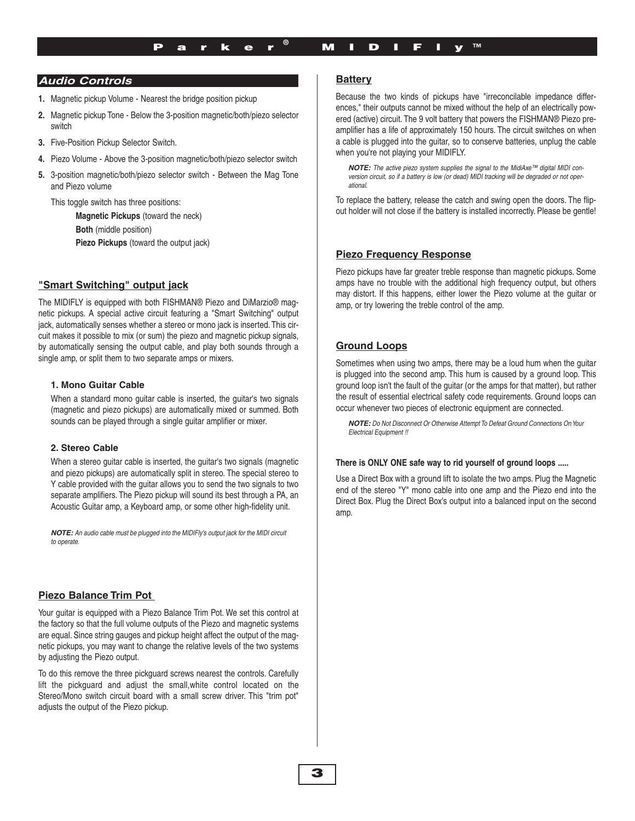## **Audio Controls: Audio Controls**

- **1.** Magnetic pickup Volume Nearest the bridge position pickup
- **2.** Magnetic pickup Tone Below the 3-position magnetic/both/piezo selector switch
- **3.** Five-Position Pickup Selector Switch.
- **4.** Piezo Volume Above the 3-position magnetic/both/piezo selector switch
- **5.** 3-position magnetic/both/piezo selector switch Between the Mag Tone and Piezo volume

This toggle switch has three positions:

**Magnetic Pickups** (toward the neck) **Both** (middle position) **Piezo Pickups** (toward the output jack)

# **"Smart Switching" output jack**

The MIDIFLY is equipped with both FISHMAN® Piezo and DiMarzio® magnetic pickups. A special active circuit featuring a "Smart Switching" output jack, automatically senses whether a stereo or mono jack is inserted. This circuit makes it possible to mix (or sum) the piezo and magnetic pickup signals, by automatically sensing the output cable, and play both sounds through a single amp, or split them to two separate amps or mixers.

## **1. Mono Guitar Cable**

When a standard mono guitar cable is inserted, the guitar's two signals (magnetic and piezo pickups) are automatically mixed or summed. Both sounds can be played through a single guitar amplifier or mixer.

## **2. Stereo Cable**

When a stereo guitar cable is inserted, the guitar's two signals (magnetic and piezo pickups) are automatically split in stereo. The special stereo to Y cable provided with the guitar allows you to send the two signals to two separate amplifiers. The Piezo pickup will sound its best through a PA, an Acoustic Guitar amp, a Keyboard amp, or some other high-fidelity unit.

**NOTE:** An audio cable must be plugged into the MIDIFly's output jack for the MIDI circuit to operate.

## **Piezo Balance Trim Pot**

Your guitar is equipped with a Piezo Balance Trim Pot. We set this control at the factory so that the full volume outputs of the Piezo and magnetic systems are equal. Since string gauges and pickup height affect the output of the magnetic pickups, you may want to change the relative levels of the two systems by adjusting the Piezo output.

To do this remove the three pickguard screws nearest the controls. Carefully lift the pickguard and adjust the small,white control located on the Stereo/Mono switch circuit board with a small screw driver. This "trim pot" adjusts the output of the Piezo pickup.

## **Battery**

Because the two kinds of pickups have "irreconcilable impedance differences," their outputs cannot be mixed without the help of an electrically powered (active) circuit. The 9 volt battery that powers the FISHMAN® Piezo preamplifier has a life of approximately 150 hours. The circuit switches on when a cable is plugged into the guitar, so to conserve batteries, unplug the cable when you're not playing your MIDIFLY.

**NOTE:** The active piezo system supplies the signal to the MidiAxe™ digital MIDI conversion circuit, so if a battery is low (or dead) MIDI tracking will be degraded or not operational.

To replace the battery, release the catch and swing open the doors. The flipout holder will not close if the battery is installed incorrectly. Please be gentle!

## **Piezo Frequency Response**

Piezo pickups have far greater treble response than magnetic pickups. Some amps have no trouble with the additional high frequency output, but others may distort. If this happens, either lower the Piezo volume at the guitar or amp, or try lowering the treble control of the amp.

## **Ground Loops**

Sometimes when using two amps, there may be a loud hum when the guitar is plugged into the second amp. This hum is caused by a ground loop. This ground loop isn't the fault of the guitar (or the amps for that matter), but rather the result of essential electrical safety code requirements. Ground loops can occur whenever two pieces of electronic equipment are connected.

**NOTE:** Do Not Disconnect Or Otherwise Attempt To Defeat Ground Connections On Your Electrical Equipment !!

#### **There is ONLY ONE safe way to rid yourself of ground loops .....**

Use a Direct Box with a ground lift to isolate the two amps. Plug the Magnetic end of the stereo "Y" mono cable into one amp and the Piezo end into the Direct Box. Plug the Direct Box's output into a balanced input on the second amp.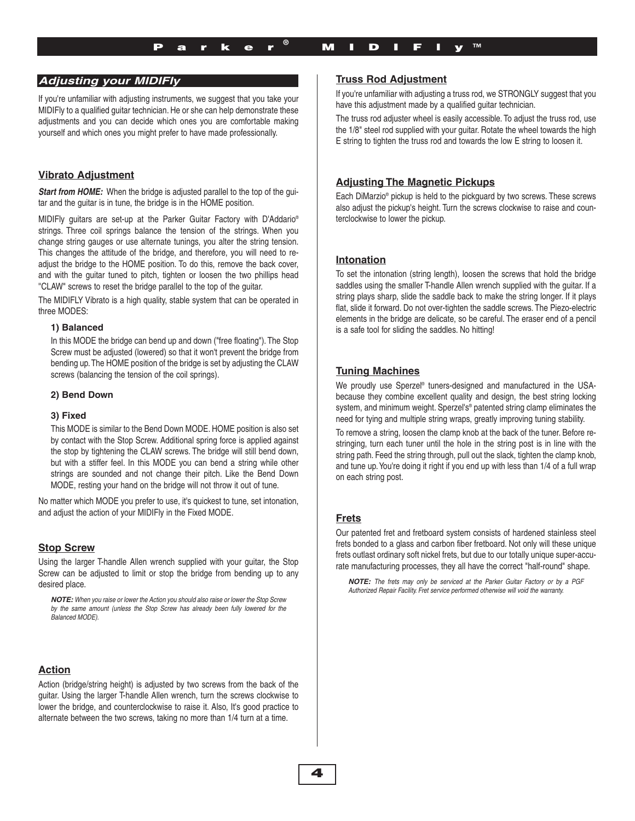## **Adjusting Your MIDIFly Adjusting your MIDIFly**

If you're unfamiliar with adjusting instruments, we suggest that you take your MIDIFly to a qualified guitar technician. He or she can help demonstrate these adjustments and you can decide which ones you are comfortable making yourself and which ones you might prefer to have made professionally.

## **Vibrato Adjustment**

**Start from HOME:** When the bridge is adjusted parallel to the top of the guitar and the guitar is in tune, the bridge is in the HOME position.

MIDIFly guitars are set-up at the Parker Guitar Factory with D'Addario® strings. Three coil springs balance the tension of the strings. When you change string gauges or use alternate tunings, you alter the string tension. This changes the attitude of the bridge, and therefore, you will need to readjust the bridge to the HOME position. To do this, remove the back cover, and with the guitar tuned to pitch, tighten or loosen the two phillips head ''CLAW" screws to reset the bridge parallel to the top of the guitar.

The MIDIFLY Vibrato is a high quality, stable system that can be operated in three MODES:

#### **1) Balanced**

In this MODE the bridge can bend up and down ("free floating"). The Stop Screw must be adjusted (lowered) so that it won't prevent the bridge from bending up.The HOME position of the bridge is set by adjusting the CLAW screws (balancing the tension of the coil springs).

#### **2) Bend Down**

#### **3) Fixed**

This MODE is similar to the Bend Down MODE. HOME position is also set by contact with the Stop Screw. Additional spring force is applied against the stop by tightening the CLAW screws. The bridge will still bend down, but with a stiffer feel. In this MODE you can bend a string while other strings are sounded and not change their pitch. Like the Bend Down MODE, resting your hand on the bridge will not throw it out of tune.

No matter which MODE you prefer to use, it's quickest to tune, set intonation, and adjust the action of your MIDIFly in the Fixed MODE.

## **Stop Screw**

Using the larger T-handle Allen wrench supplied with your guitar, the Stop Screw can be adjusted to limit or stop the bridge from bending up to any desired place.

**NOTE:** When you raise or lower the Action you should also raise or lower the Stop Screw by the same amount (unless the Stop Screw has already been fully lowered for the Balanced MODE).

## **Action**

Action (bridge/string height) is adjusted by two screws from the back of the guitar. Using the larger T-handle Allen wrench, turn the screws clockwise to lower the bridge, and counterclockwise to raise it. Also, It's good practice to alternate between the two screws, taking no more than 1/4 turn at a time.

## **Truss Rod Adjustment**

If you're unfamiliar with adjusting a truss rod, we STRONGLY suggest that you have this adjustment made by a qualified guitar technician.

The truss rod adjuster wheel is easily accessible. To adjust the truss rod, use the 1/8" steel rod supplied with your guitar. Rotate the wheel towards the high E string to tighten the truss rod and towards the low E string to loosen it.

## **Adjusting The Magnetic Pickups**

Each DiMarzio® pickup is held to the pickguard by two screws. These screws also adjust the pickup's height. Turn the screws clockwise to raise and counterclockwise to lower the pickup.

## **Intonation**

To set the intonation (string length), loosen the screws that hold the bridge saddles using the smaller T-handle Allen wrench supplied with the guitar. If a string plays sharp, slide the saddle back to make the string longer. If it plays flat, slide it forward. Do not over-tighten the saddle screws. The Piezo-electric elements in the bridge are delicate, so be careful. The eraser end of a pencil is a safe tool for sliding the saddles. No hitting!

## **Tuning Machines**

We proudly use Sperzel® tuners-designed and manufactured in the USAbecause they combine excellent quality and design, the best string locking system, and minimum weight. Sperzel's<sup>®</sup> patented string clamp eliminates the need for tying and multiple string wraps, greatly improving tuning stability.

To remove a string, loosen the clamp knob at the back of the tuner. Before restringing, turn each tuner until the hole in the string post is in line with the string path. Feed the string through, pull out the slack, tighten the clamp knob, and tune up.You're doing it right if you end up with less than 1/4 of a full wrap on each string post.

## **Frets**

Our patented fret and fretboard system consists of hardened stainless steel frets bonded to a glass and carbon fiber fretboard. Not only will these unique frets outlast ordinary soft nickel frets, but due to our totally unique super-accurate manufacturing processes, they all have the correct "half-round" shape.

**NOTE:** The frets may only be serviced at the Parker Guitar Factory or by a PGF Authorized Repair Facility. Fret service performed otherwise will void the warranty.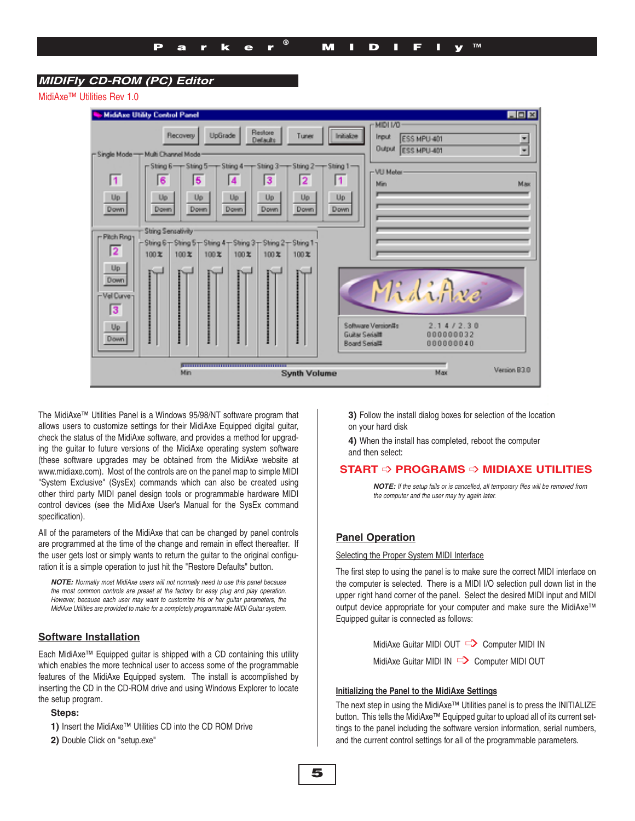## **MIDIFly CD ROM (PC) Editor: MIDIFly CD-ROM (PC) Editor**

MidiAxe™ Utilities Rev 1.0

| <b>MidiAxe Utility Control Panel</b>                                                              | $\Box$ DIX                                                                          |  |
|---------------------------------------------------------------------------------------------------|-------------------------------------------------------------------------------------|--|
| Restore<br>UpGrade<br><b>Flecovery</b><br>Initiative<br>Tuner<br>Detauto                          | MIDI I/O<br><b>Input</b><br>ESS MPU 401<br>ŧ<br><b>Output</b><br><b>ESS MPU-401</b> |  |
| - Single Mode - Multi Channel Mode                                                                |                                                                                     |  |
| $r$ String 6 - $r$ String 5 - $r$ String 4 - $r$ String 3 - $r$ String 2 - $r$ String 1 -         | -VU Meter-                                                                          |  |
| $\overline{1}$<br>6<br>5<br>3<br>$\overline{2}$<br>$\blacksquare$<br>$\blacktriangleleft$         | Max<br>Min                                                                          |  |
| Up.<br>Up.<br>Up<br>Up.<br>Up<br>Up<br>Up                                                         |                                                                                     |  |
| Down<br>Down<br>Down<br><b>Down</b><br>Down<br>Down<br>Down                                       |                                                                                     |  |
| String Sensativity                                                                                |                                                                                     |  |
| - Pitch Rng1<br>$-$ String 6 $-$ String 5 $-$ String 4 $-$ String 3 $-$ String 2 $-$ String 1 $-$ |                                                                                     |  |
| $\overline{2}$<br>100X<br>100X<br>100X<br>100X<br>100X<br>100X                                    |                                                                                     |  |
| Up                                                                                                |                                                                                     |  |
| Down                                                                                              | MidiAve                                                                             |  |
| -Vel Curve <sub>]</sub>                                                                           |                                                                                     |  |
| 13                                                                                                |                                                                                     |  |
| Up                                                                                                | 2.14/2.30<br>Software Version#s                                                     |  |
| <b>GUILN SAGAIT</b><br><b>Down</b><br><b>Board Serial#</b>                                        | 000000032<br>000000040                                                              |  |
|                                                                                                   |                                                                                     |  |
|                                                                                                   |                                                                                     |  |
| Min<br><b>Synth Volume</b>                                                                        | Version B3.0<br>Max                                                                 |  |

The MidiAxe™ Utilities Panel is a Windows 95/98/NT software program that allows users to customize settings for their MidiAxe Equipped digital guitar, check the status of the MidiAxe software, and provides a method for upgrading the guitar to future versions of the MidiAxe operating system software (these software upgrades may be obtained from the MidiAxe website at www.midiaxe.com). Most of the controls are on the panel map to simple MIDI "System Exclusive" (SysEx) commands which can also be created using other third party MIDI panel design tools or programmable hardware MIDI control devices (see the MidiAxe User's Manual for the SysEx command specification).

All of the parameters of the MidiAxe that can be changed by panel controls are programmed at the time of the change and remain in effect thereafter. If the user gets lost or simply wants to return the guitar to the original configuration it is a simple operation to just hit the "Restore Defaults" button.

**NOTE:** Normally most MidiAxe users will not normally need to use this panel because the most common controls are preset at the factory for easy plug and play operation. However, because each user may want to customize his or her guitar parameters, the MidiAxe Utilities are provided to make for a completely programmable MIDI Guitar system.

#### **Software Installation**

Each MidiAxe™ Equipped guitar is shipped with a CD containing this utility which enables the more technical user to access some of the programmable features of the MidiAxe Equipped system. The install is accomplished by inserting the CD in the CD-ROM drive and using Windows Explorer to locate the setup program.

#### **Steps:**

- **1)** Insert the MidiAxe™ Utilities CD into the CD ROM Drive
- 2) Double Click on "setup.exe"

**3)** Follow the install dialog boxes for selection of the location on your hard disk

**4)** When the install has completed, reboot the computer and then select:

## **START** ➩ **PROGRAMS** ➩ **MIDIAXE UTILITIES**

**NOTE:** If the setup fails or is cancelled, all temporary files will be removed from the computer and the user may try again later.

## **Panel Operation**

#### Selecting the Proper System MIDI Interface

The first step to using the panel is to make sure the correct MIDI interface on the computer is selected. There is a MIDI I/O selection pull down list in the upper right hand corner of the panel. Select the desired MIDI input and MIDI output device appropriate for your computer and make sure the MidiAxe™ Equipped guitar is connected as follows:

> MidiAxe Guitar MIDI OUT <a>> Computer MIDI IN MidiAxe Guitar MIDI IN  $\Box$  Computer MIDI OUT

#### **Initializing the Panel to the MidiAxe Settings**

The next step in using the MidiAxe™ Utilities panel is to press the INITIALIZE button. This tells the MidiAxe™ Equipped guitar to upload all of its current settings to the panel including the software version information, serial numbers, and the current control settings for all of the programmable parameters.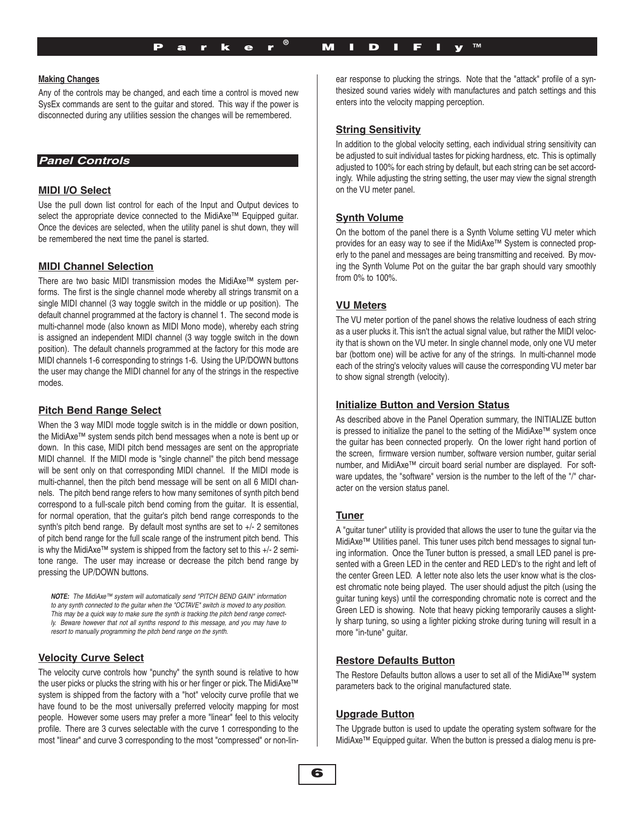### **Making Changes**

Any of the controls may be changed, and each time a control is moved new SysEx commands are sent to the guitar and stored. This way if the power is disconnected during any utilities session the changes will be remembered.

## **Panel Controls Panel Controls**

## **MIDI I/O Select**

Use the pull down list control for each of the Input and Output devices to select the appropriate device connected to the MidiAxe™ Equipped guitar. Once the devices are selected, when the utility panel is shut down, they will be remembered the next time the panel is started.

#### **MIDI Channel Selection**

There are two basic MIDI transmission modes the MidiAxe™ system performs. The first is the single channel mode whereby all strings transmit on a single MIDI channel (3 way toggle switch in the middle or up position). The default channel programmed at the factory is channel 1. The second mode is multi-channel mode (also known as MIDI Mono mode), whereby each string is assigned an independent MIDI channel (3 way toggle switch in the down position). The default channels programmed at the factory for this mode are MIDI channels 1-6 corresponding to strings 1-6. Using the UP/DOWN buttons the user may change the MIDI channel for any of the strings in the respective modes.

## **Pitch Bend Range Select**

When the 3 way MIDI mode toggle switch is in the middle or down position, the MidiAxe™ system sends pitch bend messages when a note is bent up or down. In this case, MIDI pitch bend messages are sent on the appropriate MIDI channel. If the MIDI mode is "single channel" the pitch bend message will be sent only on that corresponding MIDI channel. If the MIDI mode is multi-channel, then the pitch bend message will be sent on all 6 MIDI channels. The pitch bend range refers to how many semitones of synth pitch bend correspond to a full-scale pitch bend coming from the guitar. It is essential, for normal operation, that the guitar's pitch bend range corresponds to the synth's pitch bend range. By default most synths are set to +/- 2 semitones of pitch bend range for the full scale range of the instrument pitch bend. This is why the MidiAxe™ system is shipped from the factory set to this  $+/-$  2 semitone range. The user may increase or decrease the pitch bend range by pressing the UP/DOWN buttons.

**NOTE:** The MidiAxe™ system will automatically send "PITCH BEND GAIN" information to any synth connected to the guitar when the "OCTAVE" switch is moved to any position. This may be a quick way to make sure the synth is tracking the pitch bend range correctly. Beware however that not all synths respond to this message, and you may have to resort to manually programming the pitch bend range on the synth.

#### **Velocity Curve Select**

The velocity curve controls how "punchy" the synth sound is relative to how the user picks or plucks the string with his or her finger or pick. The MidiAxe™ system is shipped from the factory with a "hot" velocity curve profile that we have found to be the most universally preferred velocity mapping for most people. However some users may prefer a more "linear" feel to this velocity profile. There are 3 curves selectable with the curve 1 corresponding to the most "linear" and curve 3 corresponding to the most "compressed" or non-linear response to plucking the strings. Note that the "attack" profile of a synthesized sound varies widely with manufactures and patch settings and this enters into the velocity mapping perception.

## **String Sensitivity**

In addition to the global velocity setting, each individual string sensitivity can be adjusted to suit individual tastes for picking hardness, etc. This is optimally adjusted to 100% for each string by default, but each string can be set accordingly. While adjusting the string setting, the user may view the signal strength on the VU meter panel.

#### **Synth Volume**

On the bottom of the panel there is a Synth Volume setting VU meter which provides for an easy way to see if the MidiAxe™ System is connected properly to the panel and messages are being transmitting and received. By moving the Synth Volume Pot on the guitar the bar graph should vary smoothly from 0% to 100%.

## **VU Meters**

The VU meter portion of the panel shows the relative loudness of each string as a user plucks it. This isn't the actual signal value, but rather the MIDI velocity that is shown on the VU meter. In single channel mode, only one VU meter bar (bottom one) will be active for any of the strings. In multi-channel mode each of the string's velocity values will cause the corresponding VU meter bar to show signal strength (velocity).

## **Initialize Button and Version Status**

As described above in the Panel Operation summary, the INITIALIZE button is pressed to initialize the panel to the setting of the MidiAxe™ system once the guitar has been connected properly. On the lower right hand portion of the screen, firmware version number, software version number, guitar serial number, and MidiAxe™ circuit board serial number are displayed. For software updates, the "software" version is the number to the left of the "/" character on the version status panel.

#### **Tuner**

A "guitar tuner" utility is provided that allows the user to tune the guitar via the MidiAxe™ Utilities panel. This tuner uses pitch bend messages to signal tuning information. Once the Tuner button is pressed, a small LED panel is presented with a Green LED in the center and RED LED's to the right and left of the center Green LED. A letter note also lets the user know what is the closest chromatic note being played. The user should adjust the pitch (using the guitar tuning keys) until the corresponding chromatic note is correct and the Green LED is showing. Note that heavy picking temporarily causes a slightly sharp tuning, so using a lighter picking stroke during tuning will result in a more "in-tune" guitar.

## **Restore Defaults Button**

The Restore Defaults button allows a user to set all of the MidiAxe™ system parameters back to the original manufactured state.

#### **Upgrade Button**

The Upgrade button is used to update the operating system software for the MidiAxe™ Equipped guitar. When the button is pressed a dialog menu is pre-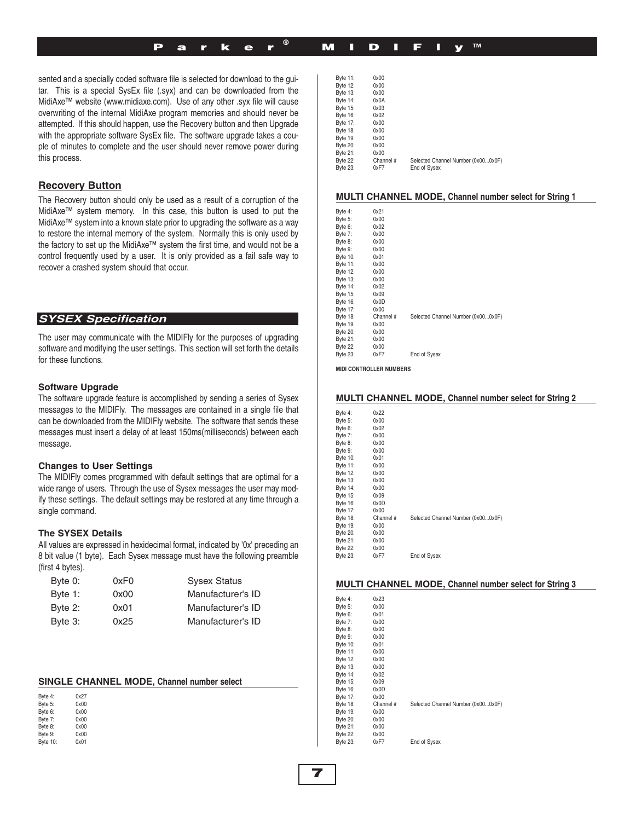# Parker® MIDIFly™

Byte 11: 0x00

sented and a specially coded software file is selected for download to the guitar. This is a special SysEx file (.syx) and can be downloaded from the MidiAxe™ website (www.midiaxe.com). Use of any other .syx file will cause overwriting of the internal MidiAxe program memories and should never be attempted. If this should happen, use the Recovery button and then Upgrade with the appropriate software SysEx file. The software upgrade takes a couple of minutes to complete and the user should never remove power during this process.

## **Recovery Button**

The Recovery button should only be used as a result of a corruption of the MidiAxe™ system memory. In this case, this button is used to put the MidiAxe™ system into a known state prior to upgrading the software as a way to restore the internal memory of the system. Normally this is only used by the factory to set up the MidiAxe™ system the first time, and would not be a control frequently used by a user. It is only provided as a fail safe way to recover a crashed system should that occur.

## **SYSEX Specification: SYSEX Specification**

The user may communicate with the MIDIFly for the purposes of upgrading software and modifying the user settings. This section will set forth the details for these functions.

#### **Software Upgrade**

The software upgrade feature is accomplished by sending a series of Sysex messages to the MIDIFly. The messages are contained in a single file that can be downloaded from the MIDIFly website. The software that sends these messages must insert a delay of at least 150ms(milliseconds) between each message.

#### **Changes to User Settings**

The MIDIFly comes programmed with default settings that are optimal for a wide range of users. Through the use of Sysex messages the user may modify these settings. The default settings may be restored at any time through a single command.

#### **The SYSEX Details**

All values are expressed in hexidecimal format, indicated by '0x' preceding an 8 bit value (1 byte). Each Sysex message must have the following preamble (first 4 bytes).

| Byte 0: | 0xF0 | <b>Sysex Status</b> |
|---------|------|---------------------|
| Byte 1: | 0x00 | Manufacturer's ID   |
| Byte 2: | 0x01 | Manufacturer's ID   |
| Byte 3: | 0x25 | Manufacturer's ID   |

#### **SINGLE CHANNEL MODE, Channel number select**

| Byte 4:  | 0x27 |
|----------|------|
| Byte 5:  | 0x00 |
| Byte 6:  | 0x00 |
| Byte 7:  | 0x00 |
| Byte 8:  | 0x00 |
| Byte 9:  | 0x00 |
| Byte 10: | 0x01 |

| Byte 12: | 0x00      |                                    |
|----------|-----------|------------------------------------|
| Byte 13: | 0x00      |                                    |
| Byte 14: | 0x0A      |                                    |
| Byte 15: | 0x03      |                                    |
| Byte 16: | 0x02      |                                    |
| Byte 17: | 0x00      |                                    |
| Byte 18: | 0x00      |                                    |
| Byte 19: | 0x00      |                                    |
| Byte 20: | 0x00      |                                    |
| Byte 21: | 0x00      |                                    |
| Byte 22: | Channel # | Selected Channel Number (0x000x0F) |
| Byte 23: | 0xF7      | End of Sysex                       |

#### **MULTI CHANNEL MODE, Channel number select for String 1**

| Byte 4:         | 0x21      |                                    |
|-----------------|-----------|------------------------------------|
| Byte 5:         | 0x00      |                                    |
| Byte 6:         | 0x02      |                                    |
| Byte 7:         | 0x00      |                                    |
| Byte 8:         | 0x00      |                                    |
| Byte 9:         | 0x00      |                                    |
| Byte 10:        | 0x01      |                                    |
| Byte 11:        | 0x00      |                                    |
| Byte 12:        | 0x00      |                                    |
| Byte 13:        | 0x00      |                                    |
| <b>Byte 14:</b> | 0x02      |                                    |
| Byte 15:        | 0x09      |                                    |
| Byte 16:        | 0x0D      |                                    |
| Byte 17:        | 0x00      |                                    |
| Byte 18:        | Channel # | Selected Channel Number (0x000x0F) |
| Byte 19:        | 0x00      |                                    |
| Byte 20:        | 0x00      |                                    |
| Byte 21:        | 0x00      |                                    |
| <b>Byte 22:</b> | 0x00      |                                    |
| Byte 23:        | 0xF7      | End of Sysex                       |

**MIDI CONTROLLER NUMBERS**

#### **MULTI CHANNEL MODE, Channel number select for String 2**

| Byte 4:         | 0x22      |                                    |
|-----------------|-----------|------------------------------------|
| Byte 5:         | 0x00      |                                    |
| Byte 6:         | 0x02      |                                    |
| Byte 7:         | 0x00      |                                    |
| Byte 8:         | 0x00      |                                    |
| Byte 9:         | 0x00      |                                    |
| Byte 10:        | 0x01      |                                    |
| Byte 11:        | 0x00      |                                    |
| Byte 12:        | 0x00      |                                    |
| Byte 13:        | 0x00      |                                    |
| Byte 14:        | 0x00      |                                    |
| Byte 15:        | 0x09      |                                    |
| Byte 16:        | 0x0D      |                                    |
| Byte 17:        | 0x00      |                                    |
| Byte 18:        | Channel # | Selected Channel Number (0x000x0F) |
| Byte 19:        | 0x00      |                                    |
| <b>Byte 20:</b> | 0x00      |                                    |
| Byte 21:        | 0x00      |                                    |
| <b>Byte 22:</b> | 0x00      |                                    |
| <b>Byte 23:</b> | 0xF7      | End of Sysex                       |
|                 |           |                                    |

#### **MULTI CHANNEL MODE, Channel number select for String 3**

| Byte 4:         | 0x23      |                                    |
|-----------------|-----------|------------------------------------|
| Byte 5:         | 0x00      |                                    |
| Byte 6:         | 0x01      |                                    |
| Byte 7:         | 0x00      |                                    |
| Byte 8:         | 0x00      |                                    |
| Byte 9:         | 0x00      |                                    |
| Byte 10:        | 0x01      |                                    |
| Byte 11:        | 0x00      |                                    |
| Byte 12:        | 0x00      |                                    |
| Byte 13:        | 0x00      |                                    |
| Byte 14:        | 0x02      |                                    |
| Byte 15:        | 0x09      |                                    |
| Byte 16:        | 0x0D      |                                    |
| Byte 17:        | 0x00      |                                    |
| Byte 18:        | Channel # | Selected Channel Number (0x000x0F) |
| Byte 19:        | 0x00      |                                    |
| Byte 20:        | 0x00      |                                    |
| Byte 21:        | 0x00      |                                    |
| <b>Byte 22:</b> | 0x00      |                                    |
| Byte 23:        | 0xF7      | End of Sysex                       |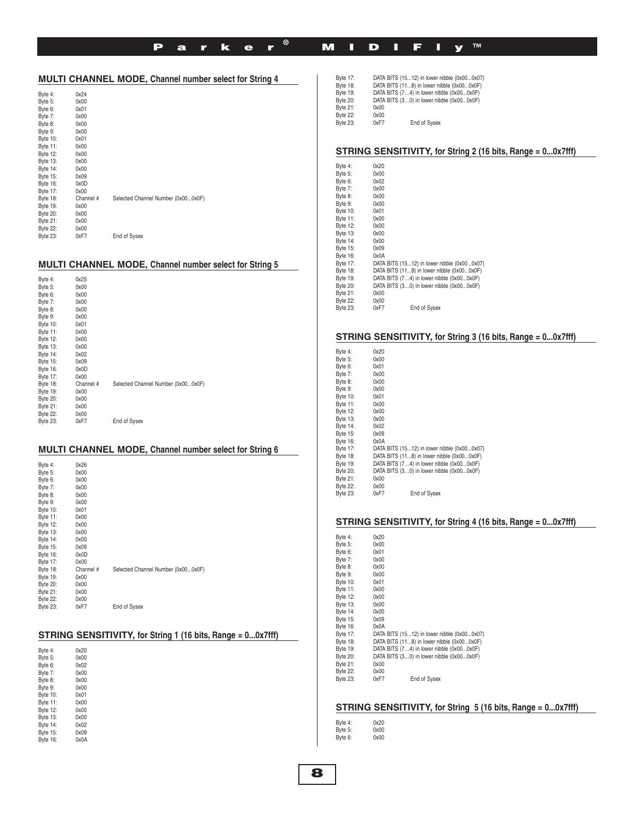# Parker® MIDIFly™

|                 |           | MULTI CHANNEL MODE, Channel number select for String 4 |
|-----------------|-----------|--------------------------------------------------------|
| Byte 4:         | 0x24      |                                                        |
| Byte 5:         | 0x00      |                                                        |
| Byte 6:         | 0x01      |                                                        |
| Byte 7:         | 0x00      |                                                        |
| Byte 8:         | 0x00      |                                                        |
| Byte 9:         | 0x00      |                                                        |
| Byte 10:        | 0x01      |                                                        |
| Byte 11:        | 0x00      |                                                        |
| Byte 12:        | 0x00      |                                                        |
| Byte 13:        | 0x00      |                                                        |
| Byte 14:        | 0x00      |                                                        |
| Byte 15:        | 0x09      |                                                        |
| Byte 16:        | 0x0D      |                                                        |
| Byte 17:        | 0x00      |                                                        |
| Byte 18:        | Channel # | Selected Channel Number (0x000x0F)                     |
| Byte 19:        | 0x00      |                                                        |
| Byte 20:        | 0x00      |                                                        |
| Byte 21:        | 0x00      |                                                        |
| <b>Byte 22:</b> | 0x00      |                                                        |
| Byte 23:        | 0xF7      | End of Sysex                                           |

## **MULTI CHANNEL MODE, Channel number select for String 5**

| Byte 4:  | 0x25      |                                    |
|----------|-----------|------------------------------------|
| Byte 5:  | 0x00      |                                    |
| Byte 6:  | 0x00      |                                    |
| Byte 7:  | 0x00      |                                    |
| Byte 8:  | 0x00      |                                    |
| Byte 9:  | 0x00      |                                    |
| Byte 10: | 0x01      |                                    |
| Byte 11: | 0x00      |                                    |
| Byte 12: | 0x00      |                                    |
| Byte 13: | 0x00      |                                    |
| Byte 14: | 0x02      |                                    |
| Byte 15: | 0x09      |                                    |
| Byte 16: | 0x0D      |                                    |
| Byte 17: | 0x00      |                                    |
| Byte 18: | Channel # | Selected Channel Number (0x000x0F) |
| Byte 19: | 0x00      |                                    |
| Byte 20: | 0x00      |                                    |
| Byte 21: | 0x00      |                                    |
| Byte 22: | 0x00      |                                    |
| Byte 23: | 0xF7      | End of Sysex                       |
|          |           |                                    |

## **MULTI CHANNEL MODE, Channel number select for String 6**

| Byte 4:<br>Byte 5:<br>Byte 6:<br>Byte 7:<br>Byte 8:<br>Byte 9:<br>Byte 10:<br>Byte 11:<br>Byte 12:<br>Byte 13:<br>Byte 14:<br>Byte 15:<br>Byte 16:<br>Byte 17: | 0x26<br>0x00<br>0x00<br>0x00<br>0x00<br>0x00<br>0x01<br>0x00<br>0x00<br>0x00<br>0x00<br>0x09<br>0x0D<br>0x00 |                                    |
|----------------------------------------------------------------------------------------------------------------------------------------------------------------|--------------------------------------------------------------------------------------------------------------|------------------------------------|
| Byte 18:<br>Byte 19:<br>Byte 20:<br>Byte 21:<br>Byte 22:                                                                                                       | Channel #<br>0x00<br>0x00<br>0x00<br>0x00                                                                    | Selected Channel Number (0x000x0F) |
| <b>Byte 23:</b>                                                                                                                                                | 0xF7                                                                                                         | End of Sysex                       |

## **STRING SENSITIVITY, for String 1 (16 bits, Range = 0...0x7fff)**

| Byte 4:         | 0x20 |  |
|-----------------|------|--|
| Byte 5:         | 0x00 |  |
| Byte 6:         | 0x02 |  |
| Byte 7:         | 0x00 |  |
| Byte 8:         | 0x00 |  |
| Byte 9:         | 0x00 |  |
| Byte 10:        | 0x01 |  |
| Byte 11:        | 0x00 |  |
| <b>Byte 12:</b> | 0x00 |  |
| <b>Byte 13:</b> | 0x00 |  |
| Byte 14:        | 0x02 |  |
| Byte 15:        | 0x09 |  |
| Byte 16:        | 0x0A |  |

| Byte 17:        |      | DATA BITS (1512) in lower nibble (0x000x07) |
|-----------------|------|---------------------------------------------|
| Byte 18:        |      | DATA BITS (118) in lower nibble (0x000x0F)  |
| Byte 19:        |      | DATA BITS (74) in lower nibble (0x000x0F)   |
| <b>Byte 20:</b> |      | DATA BITS (30) in lower nibble (0x000x0F)   |
| Byte 21:        | 0x00 |                                             |
| <b>Byte 22:</b> | 0x00 |                                             |
| <b>Byte 23:</b> | 0xF7 | End of Sysex                                |
|                 |      |                                             |

## **STRING SENSITIVITY, for String 2 (16 bits, Range = 0...0x7fff)**

| Byte 4:         |          | 0x20 |                                             |
|-----------------|----------|------|---------------------------------------------|
| Byte 5:         |          | 0x00 |                                             |
| Byte 6:         |          | 0x02 |                                             |
| Byte 7:         |          | 0x00 |                                             |
| Byte 8:         |          | 0x00 |                                             |
| Byte 9:         |          | 0x00 |                                             |
| Byte 10:        |          | 0x01 |                                             |
| Byte 11:        |          | 0x00 |                                             |
|                 | Byte 12: | 0x00 |                                             |
| Byte 13:        |          | 0x00 |                                             |
| <b>Byte 14:</b> |          | 0x00 |                                             |
|                 | Byte 15: | 0x09 |                                             |
|                 | Byte 16: | 0x0A |                                             |
|                 | Byte 17: |      | DATA BITS (1512) in lower nibble (0x000x07) |
|                 | Byte 18: |      | DATA BITS (118) in lower nibble (0x000x0F)  |
| Byte 19:        |          |      | DATA BITS (74) in lower nibble (0x000x0F)   |
|                 | Bvte 20: |      | DATA BITS (30) in lower nibble (0x000x0F)   |
| Byte 21:        |          | 0x00 |                                             |
| Byte 22:        |          | 0x00 |                                             |
| <b>Byte 23:</b> |          | 0xF7 | End of Sysex                                |

## **STRING SENSITIVITY, for String 3 (16 bits, Range = 0...0x7fff)**

| Byte 4:         |          | 0x20                                        |
|-----------------|----------|---------------------------------------------|
| Byte 5:         |          | 0x00                                        |
| Byte 6:         |          | 0x01                                        |
| Byte 7:         |          | 0x00                                        |
| Byte 8:         |          | 0x00                                        |
| Byte 9:         |          | 0x00                                        |
| Byte 10:        |          | 0x01                                        |
| Byte 11:        |          | 0x00                                        |
| Byte 12:        |          | 0x00                                        |
| Byte 13:        |          | 0x00                                        |
| <b>Byte 14:</b> |          | 0x02                                        |
| Bvte 15:        |          | 0x09                                        |
| Byte 16:        |          | 0x0A                                        |
|                 | Byte 17: | DATA BITS (1512) in lower nibble (0x000x07) |
|                 | Byte 18: | DATA BITS (118) in lower nibble (0x000x0F)  |
| Byte 19:        |          | DATA BITS (74) in lower nibble (0x000x0F)   |
| <b>Byte 20:</b> |          | DATA BITS (30) in lower nibble (0x000x0F)   |
| Byte 21:        |          | 0x00                                        |
| <b>Byte 22:</b> |          | 0x00                                        |
| Byte 23:        |          | 0xF7<br>End of Sysex                        |

#### **STRING SENSITIVITY, for String 4 (16 bits, Range = 0...0x7fff)**

| Byte 4:         |          | 0x20 |                                             |
|-----------------|----------|------|---------------------------------------------|
| Byte 5:         |          | 0x00 |                                             |
| Byte 6:         |          | 0x01 |                                             |
| Byte 7:         |          | 0x00 |                                             |
| Byte 8:         |          | 0x00 |                                             |
| Byte 9:         |          | 0x00 |                                             |
| Byte 10:        |          | 0x01 |                                             |
| Byte 11:        |          | 0x00 |                                             |
|                 | Byte 12: | 0x00 |                                             |
| Byte 13:        |          | 0x00 |                                             |
| <b>Byte 14:</b> |          | 0x00 |                                             |
| Byte 15:        |          | 0x09 |                                             |
| Bvte 16:        |          | 0x0A |                                             |
|                 | Byte 17: |      | DATA BITS (1512) in lower nibble (0x000x07) |
|                 | Byte 18: |      | DATA BITS (118) in lower nibble (0x000x0F)  |
|                 | Byte 19: |      | DATA BITS (74) in lower nibble (0x000x0F)   |
|                 | Byte 20: |      | DATA BITS (30) in lower nibble (0x000x0F)   |
| Byte 21:        |          | 0x00 |                                             |
| <b>Byte 22:</b> |          | 0x00 |                                             |
| Byte 23:        |          | 0xF7 | End of Sysex                                |

## **STRING SENSITIVITY, for String 5 (16 bits, Range = 0...0x7fff)**

| Byte 4: | 0x20 |
|---------|------|
| Byte 5: | 0x00 |
| Byte 6: | 0x00 |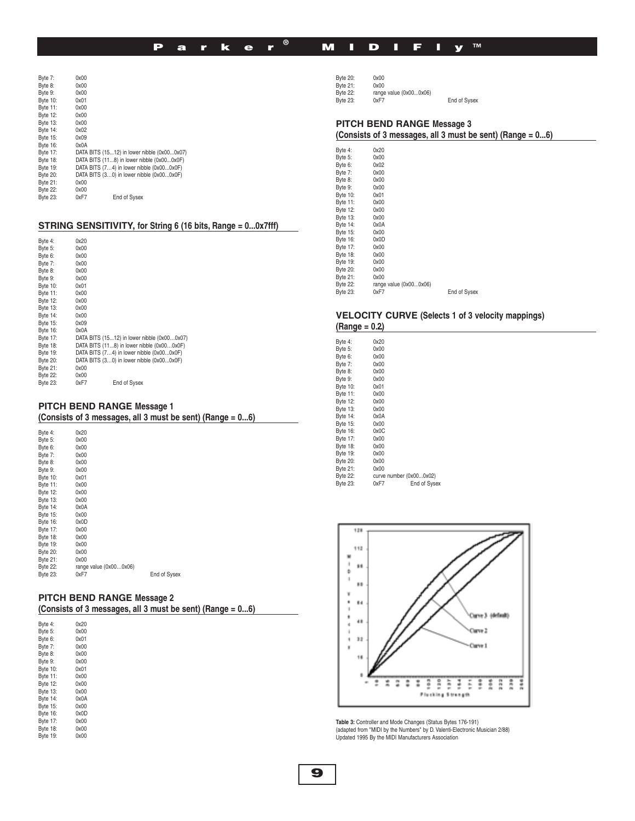# Parker® MIDIFly™

| Byte 7:  | 0x00 |                                             |
|----------|------|---------------------------------------------|
| Byte 8:  | 0x00 |                                             |
| Byte 9:  | 0x00 |                                             |
| Byte 10: | 0x01 |                                             |
| Byte 11: | 0x00 |                                             |
| Byte 12: | 0x00 |                                             |
| Byte 13: | 0x00 |                                             |
| Byte 14: | 0x02 |                                             |
| Byte 15: | 0x09 |                                             |
| Byte 16: | 0x0A |                                             |
| Byte 17: |      | DATA BITS (1512) in lower nibble (0x000x07) |
| Byte 18: |      | DATA BITS (118) in lower nibble (0x000x0F)  |
| Byte 19: |      | DATA BITS (74) in lower nibble (0x000x0F)   |
| Byte 20: |      | DATA BITS (30) in lower nibble (0x000x0F)   |
| Byte 21: | 0x00 |                                             |
| Byte 22: | 0x00 |                                             |
| Byte 23: | 0xF7 | End of Sysex                                |

#### **STRING SENSITIVITY, for String 6 (16 bits, Range = 0...0x7fff)**

| 0x20                                        |
|---------------------------------------------|
| 0x00                                        |
| 0x00                                        |
| 0x00                                        |
| 0x00                                        |
| 0x00                                        |
| 0x01                                        |
| 0x00                                        |
| 0x00                                        |
| 0x00                                        |
| 0x00                                        |
| 0x09                                        |
| 0x0A                                        |
| DATA BITS (1512) in lower nibble (0x000x07) |
| DATA BITS (118) in lower nibble (0x000x0F)  |
| DATA BITS (74) in lower nibble (0x000x0F)   |
| DATA BITS (30) in lower nibble (0x000x0F)   |
| 0x00                                        |
| 0x00                                        |
| 0xF7<br>End of Sysex                        |
|                                             |

# **PITCH BEND RANGE M.**

|                 | PITCH BEND RANGE Message 1<br>(Consists of 3 messages, all 3 must be sent) (Range = 06) |              |  |  |  |  |
|-----------------|-----------------------------------------------------------------------------------------|--------------|--|--|--|--|
| Byte 4:         | 0x20                                                                                    |              |  |  |  |  |
| Byte 5:         | 0x00                                                                                    |              |  |  |  |  |
| Byte 6:         | 0x00                                                                                    |              |  |  |  |  |
| Byte 7:         | 0x00                                                                                    |              |  |  |  |  |
| Byte 8:         | 0x00                                                                                    |              |  |  |  |  |
| Byte 9:         | 0x00                                                                                    |              |  |  |  |  |
| Byte 10:        | 0x01                                                                                    |              |  |  |  |  |
| Byte 11:        | 0x00                                                                                    |              |  |  |  |  |
| Byte 12:        | 0x00                                                                                    |              |  |  |  |  |
| Byte 13:        | 0x00                                                                                    |              |  |  |  |  |
| Byte 14:        | 0x0A                                                                                    |              |  |  |  |  |
| Byte 15:        | 0x00                                                                                    |              |  |  |  |  |
| Byte 16:        | 0x0D                                                                                    |              |  |  |  |  |
| Byte 17:        | 0x00                                                                                    |              |  |  |  |  |
| <b>Byte 18:</b> | 0x00                                                                                    |              |  |  |  |  |
| Byte 19:        | 0x00                                                                                    |              |  |  |  |  |
| Byte 20:        | 0x00                                                                                    |              |  |  |  |  |
| Byte 21:        | 0x00                                                                                    |              |  |  |  |  |
| <b>Byte 22:</b> | range value (0x000x06)                                                                  |              |  |  |  |  |
| <b>Byte 23:</b> | 0xF7                                                                                    | End of Sysex |  |  |  |  |

## **PITCH BEND RANGE Message 2**

**(Consists of 3 messages, all 3 must be sent) (Range = 0...6)**

| Byte 4:         | 0x20 |
|-----------------|------|
| Byte 5:         | 0x00 |
| Byte 6:         | 0x01 |
| Byte 7:         | 0x00 |
| Byte 8:         | 0x00 |
| Byte 9:         | 0x00 |
| <b>Byte 10:</b> | 0x01 |
| Byte 11:        | 0x00 |
| Byte 12:        | 0x00 |
| Byte 13:        | 0x00 |
| <b>Byte 14:</b> | 0x0A |
| Byte 15:        | 0x00 |
| Byte 16:        | 0x0D |
| Byte 17:        | 0x00 |
| <b>Byte 18:</b> | 0x00 |
| Byte 19:        | 0x00 |

Byte 20: 0x00<br>Byte 21: 0x00 Byte 20:<br>Byte 21:<br>Byte 22: Byte 22: range value (0x00...0x06)<br>Byte 23: 0xF7 End of Sysex

## **PITCH BEND RANGE Message 3**

**(Consists of 3 messages, all 3 must be sent) (Range = 0...6)**

| 0x20<br>Byte 4:<br>Byte 5:<br>0x00<br>Byte 6:<br>0x02<br>0x00<br>Byte 7:<br>0x00<br>Byte 8:<br>Byte 9:<br>0x00<br>Byte 10:<br>0x01<br>Byte 11:<br>0x00<br>0x00<br>Byte 12:<br>Byte 13:<br>0x00<br>Byte 14:<br>0x0A<br>Byte 15:<br>0x00<br>Byte 16:<br>0x0D<br>0x00<br>Byte 17:<br>Byte 18:<br>0x00<br>Byte 19:<br>0x00<br>Byte 20:<br>0x00<br>Byte 21:<br>0x00<br>range value (0x000x06)<br>Byte 22:<br>Byte 23:<br>0xF7<br>End of Sysex |  |  |
|------------------------------------------------------------------------------------------------------------------------------------------------------------------------------------------------------------------------------------------------------------------------------------------------------------------------------------------------------------------------------------------------------------------------------------------|--|--|
|                                                                                                                                                                                                                                                                                                                                                                                                                                          |  |  |
|                                                                                                                                                                                                                                                                                                                                                                                                                                          |  |  |
|                                                                                                                                                                                                                                                                                                                                                                                                                                          |  |  |
|                                                                                                                                                                                                                                                                                                                                                                                                                                          |  |  |
|                                                                                                                                                                                                                                                                                                                                                                                                                                          |  |  |
|                                                                                                                                                                                                                                                                                                                                                                                                                                          |  |  |
|                                                                                                                                                                                                                                                                                                                                                                                                                                          |  |  |
|                                                                                                                                                                                                                                                                                                                                                                                                                                          |  |  |
|                                                                                                                                                                                                                                                                                                                                                                                                                                          |  |  |
|                                                                                                                                                                                                                                                                                                                                                                                                                                          |  |  |
|                                                                                                                                                                                                                                                                                                                                                                                                                                          |  |  |
|                                                                                                                                                                                                                                                                                                                                                                                                                                          |  |  |
|                                                                                                                                                                                                                                                                                                                                                                                                                                          |  |  |
|                                                                                                                                                                                                                                                                                                                                                                                                                                          |  |  |
|                                                                                                                                                                                                                                                                                                                                                                                                                                          |  |  |
|                                                                                                                                                                                                                                                                                                                                                                                                                                          |  |  |
|                                                                                                                                                                                                                                                                                                                                                                                                                                          |  |  |
|                                                                                                                                                                                                                                                                                                                                                                                                                                          |  |  |
|                                                                                                                                                                                                                                                                                                                                                                                                                                          |  |  |
|                                                                                                                                                                                                                                                                                                                                                                                                                                          |  |  |

## **VELOCITY CURVE (Selects 1 of 3 velocity mappings) (Range = 0…2)**

| Byte 4:         | 0x20                    |              |
|-----------------|-------------------------|--------------|
| Byte 5:         | 0x00                    |              |
| Byte 6:         | 0x00                    |              |
| Byte 7:         | 0x00                    |              |
| Byte 8:         | 0x00                    |              |
| Byte 9:         | 0x00                    |              |
| <b>Byte 10:</b> | 0x01                    |              |
| <b>Byte 11:</b> | 0x00                    |              |
| <b>Byte 12:</b> | 0x00                    |              |
| <b>Byte 13:</b> | 0x00                    |              |
| Byte 14:        | 0x0A                    |              |
| <b>Byte 15:</b> | 0x00                    |              |
| <b>Byte 16:</b> | 0x0C                    |              |
| Byte 17:        | 0x00                    |              |
| <b>Byte 18:</b> | 0x00                    |              |
| <b>Byte 19:</b> | 0x00                    |              |
| <b>Byte 20:</b> | 0x00                    |              |
| Byte 21:        | 0x00                    |              |
| <b>Byte 22:</b> | curve number (0x000x02) |              |
| <b>Byte 23:</b> | 0xF7                    | End of Sysex |
|                 |                         |              |



**Table 3:** Controller and Mode Changes (Status Bytes 176-191) (adapted from "MIDI by the Numbers" by D. Valenti-Electronic Musician 2/88) Updated 1995 By the MIDI Manufacturers Association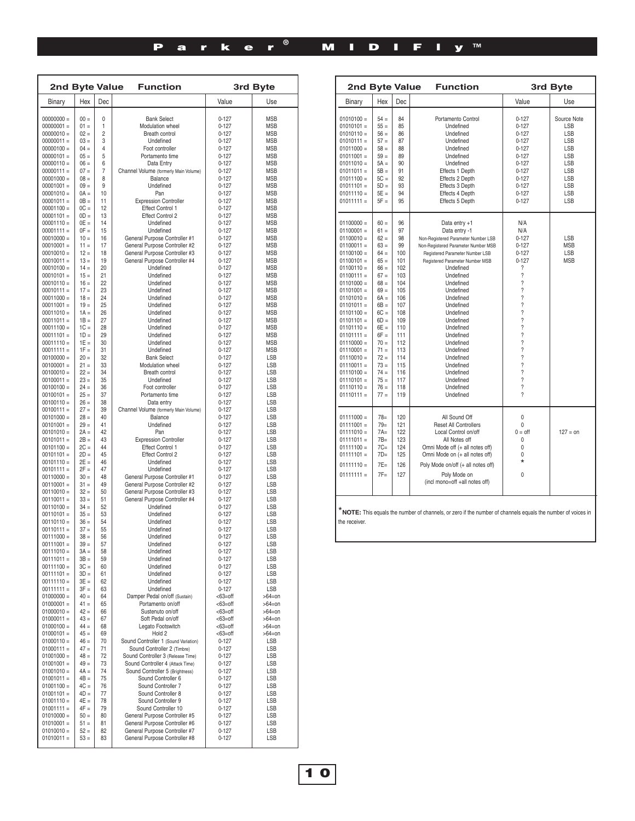| <b>2nd Byte Value</b>        |                  | <b>Function</b>     |                                                                     | 3rd Byte                 |                          |
|------------------------------|------------------|---------------------|---------------------------------------------------------------------|--------------------------|--------------------------|
| Binary                       | Hex              | Dec                 |                                                                     | Value                    | Use                      |
| $00000000 =$                 | $00 =$           | 0                   | <b>Bank Select</b>                                                  | $0 - 127$                | <b>MSB</b>               |
| $00000001 =$                 | $01 =$           | 1                   | Modulation wheel                                                    | $0 - 127$                | <b>MSB</b>               |
| $00000010 =$                 | $02 =$           | $\overline{2}$      | Breath control                                                      | $0 - 127$                | <b>MSB</b>               |
| $00000011 =$                 | $03 =$           | 3                   | Undefined                                                           | $0 - 127$                | <b>MSB</b>               |
| $00000100 =$<br>$00000101 =$ | $04 =$<br>$05 =$ | $\overline{4}$<br>5 | Foot controller<br>Portamento time                                  | $0 - 127$<br>$0 - 127$   | <b>MSB</b><br><b>MSB</b> |
| $00000110 =$                 | $06 =$           | 6                   | Data Entry                                                          | $0 - 127$                | <b>MSB</b>               |
| $00000111 =$                 | $07 =$           | $\overline{7}$      | Channel Volume (formerly Main Volume)                               | $0 - 127$                | <b>MSB</b>               |
| $00001000 =$                 | $08 =$           | 8                   | Balance                                                             | $0 - 127$                | <b>MSB</b>               |
| $00001001 =$                 | $09 =$           | 9                   | Undefined                                                           | $0 - 127$                | <b>MSB</b>               |
| $00001010 =$                 | $0A =$<br>$OB =$ | 10                  | Pan                                                                 | $0 - 127$                | <b>MSB</b>               |
| $00001011 =$<br>$00001100 =$ | $OC =$           | 11<br>12            | <b>Expression Controller</b><br>Effect Control 1                    | $0 - 127$<br>$0 - 127$   | <b>MSB</b><br><b>MSB</b> |
| $00001101 =$                 | $OD =$           | 13                  | <b>Effect Control 2</b>                                             | $0 - 127$                | <b>MSB</b>               |
| $00001110 =$                 | $0E =$           | 14                  | Undefined                                                           | $0 - 127$                | <b>MSB</b>               |
| $00001111 =$                 | $OF =$           | 15                  | Undefined                                                           | $0 - 127$                | <b>MSB</b>               |
| $00010000 =$                 | $10 =$           | 16                  | General Purpose Controller #1                                       | $0 - 127$                | <b>MSB</b>               |
| $00010001 =$<br>$00010010 =$ | $11 =$<br>$12 =$ | 17<br>18            | General Purpose Controller #2<br>General Purpose Controller #3      | $0 - 127$<br>$0 - 127$   | <b>MSB</b><br><b>MSB</b> |
| $00010011 =$                 | $13 =$           | 19                  | General Purpose Controller #4                                       | $0 - 127$                | <b>MSB</b>               |
| $00010100 =$                 | $14 =$           | 20                  | Undefined                                                           | $0 - 127$                | <b>MSB</b>               |
| $00010101 =$                 | $15 =$           | 21                  | Undefined                                                           | $0 - 127$                | <b>MSB</b>               |
| $00010110 =$                 | $16 =$           | 22                  | Undefined                                                           | $0 - 127$                | <b>MSB</b>               |
| $00010111 =$                 | $17 =$<br>$18 =$ | 23<br>24            | Undefined                                                           | $0 - 127$                | <b>MSB</b>               |
| $00011000 =$<br>$00011001 =$ | $19 =$           | 25                  | Undefined<br>Undefined                                              | $0 - 127$<br>$0 - 127$   | <b>MSB</b><br><b>MSB</b> |
| $00011010 =$                 | $1A =$           | 26                  | Undefined                                                           | $0 - 127$                | <b>MSB</b>               |
| $00011011 =$                 | $1B =$           | 27                  | Undefined                                                           | $0 - 127$                | <b>MSB</b>               |
| $00011100 =$                 | $1C =$           | 28                  | Undefined                                                           | $0 - 127$                | <b>MSB</b>               |
| $00011101 =$                 | $1D =$           | 29                  | Undefined                                                           | $0 - 127$                | <b>MSB</b>               |
| $00011110 =$<br>$00011111 =$ | $1E =$<br>$1F =$ | 30<br>31            | Undefined<br>Undefined                                              | $0 - 127$<br>$0 - 127$   | <b>MSB</b><br><b>MSB</b> |
| $00100000 =$                 | $20 =$           | 32                  | <b>Bank Select</b>                                                  | $0 - 127$                | LSB                      |
| $00100001 =$                 | $21 =$           | 33                  | Modulation wheel                                                    | $0 - 127$                | LSB                      |
| $00100010 =$                 | $22 =$           | 34                  | Breath control                                                      | $0 - 127$                | LSB                      |
| $00100011 =$                 | $23 =$           | 35                  | Undefined                                                           | $0 - 127$                | LSB                      |
| $00100100 =$                 | $24 =$           | 36                  | Foot controller                                                     | $0 - 127$                | LSB                      |
| $00100101 =$<br>$00100110 =$ | $25 =$<br>$26 =$ | 37<br>38            | Portamento time<br>Data entry                                       | $0 - 127$<br>$0 - 127$   | LSB<br>LSB               |
| $00100111 =$                 | $27 =$           | 39                  | Channel Volume (formerly Main Volume)                               | $0 - 127$                | LSB                      |
| $00101000 =$                 | $28 =$           | 40                  | Balance                                                             | $0 - 127$                | LSB                      |
| $00101001 =$                 | $29 =$           | 41                  | Undefined                                                           | $0 - 127$                | LSB                      |
| $00101010 =$                 | $2A =$           | 42                  | Pan                                                                 | $0 - 127$                | LSB                      |
| $00101011 =$<br>$00101100 =$ | $2B =$<br>$2C =$ | 43<br>44            | <b>Expression Controller</b><br>Effect Control 1                    | $0 - 127$<br>$0 - 127$   | LSB<br>LSB               |
| $00101101 =$                 | $2D =$           | 45                  | Effect Control 2                                                    | $0 - 127$                | LSB                      |
| $00101110 =$                 | $2E =$           | 46                  | Undefined                                                           | $0 - 127$                | LSB                      |
| $00101111 =$                 | $2F =$           | 47                  | Undefined                                                           | $0 - 127$                | LSB                      |
| $00110000 =$                 | $30 =$           | 48                  | General Purpose Controller #1                                       | $0 - 127$                | LSB                      |
| $00110001 =$<br>$00110010 =$ | $31 =$<br>$32 =$ | 49<br>50            | General Purpose Controller #2<br>General Purpose Controller #3      | $0 - 127$<br>$0 - 127$   | LSB<br>LSB               |
| $00110011 =$                 | $33 =$           | 51                  | General Purpose Controller #4                                       | $0 - 127$                | <b>LSB</b>               |
| $00110100 =$                 | $34 =$           | 52                  | Undefined                                                           | $0 - 127$                | LSB                      |
| $00110101 =$                 | $35 =$           | 53                  | Undefined                                                           | $0 - 127$                | LSB                      |
| $00110110 =$                 | $36 =$           | 54                  | Undefined                                                           | $0 - 127$                | LSB                      |
| $00110111 =$<br>$00111000 =$ | $37 =$<br>$38 =$ | 55<br>56            | Undefined<br>Undefined                                              | $0 - 127$<br>$0 - 127$   | LSB<br>LSB               |
| $00111001 =$                 | $39 =$           | 57                  | Undefined                                                           | $0 - 127$                | LSB                      |
| $00111010 =$                 | $3A =$           | 58                  | Undefined                                                           | 0-127                    | LSB                      |
| $00111011 =$                 | $3B =$           | 59                  | Undefined                                                           | 0-127                    | <b>LSB</b>               |
| $00111100 =$                 | $3C =$<br>$3D =$ | 60                  | Undefined                                                           | $0 - 127$                | LSB                      |
| $00111101 =$<br>$00111110 =$ | $3E =$           | 61<br>62            | Undefined<br>Undefined                                              | 0-127<br>$0 - 127$       | LSB<br>LSB               |
| $00111111 =$                 | $3F =$           | 63                  | Undefined                                                           | $0 - 127$                | LSB                      |
| $01000000 =$                 | $40 =$           | 64                  | Damper Pedal on/off (Sustain)                                       | <63=off                  | $>64=0n$                 |
| $01000001 =$                 | $41 =$           | 65                  | Portamento on/off                                                   | <63=off                  | >64=on                   |
| $01000010 =$                 | $42 =$           | 66                  | Sustenuto on/off                                                    | $<63=$ off               | $>64=0n$                 |
| $01000011 =$<br>$01000100 =$ | $43 =$<br>$44 =$ | 67<br>68            | Soft Pedal on/off<br>Legato Footswitch                              | $<63=$ off<br>$<63=$ off | $>64=0n$<br>$>64=0n$     |
| $01000101 =$                 | $45 =$           | 69                  | Hold 2                                                              | <63=off                  | $>64=0n$                 |
| $01000110 =$                 | $46 =$           | 70                  | Sound Controller 1 (Sound Variation)                                | $0 - 127$                | LSB                      |
| $01000111 =$                 | $47 =$           | 71                  | Sound Controller 2 (Timbre)                                         | $0 - 127$                | LSB                      |
| $01001000 =$                 | $48 =$           | 72                  | Sound Controller 3 (Release Time)                                   | $0 - 127$                | LSB                      |
| $01001001 =$<br>$01001010 =$ | $49 =$<br>$4A =$ | 73<br>74            | Sound Controller 4 (Attack Time)<br>Sound Controller 5 (Brightness) | 0-127                    | LSB<br>LSB               |
| $01001011 =$                 | $4B =$           | 75                  | Sound Controller 6                                                  | 0-127<br>$0 - 127$       | LSB                      |
| $01001100 =$                 | $4C =$           | 76                  | Sound Controller 7                                                  | 0-127                    | LSB                      |
| $01001101 =$                 | $4D =$           | 77                  | Sound Controller 8                                                  | $0 - 127$                | LSB                      |
| $01001110 =$                 | $4E =$           | 78                  | Sound Controller 9                                                  | 0-127                    | LSB                      |
| $01001111 =$                 | $4F =$           | 79                  | Sound Controller 10                                                 | $0 - 127$                | LSB                      |
| $01010000 =$<br>$01010001 =$ | $50 =$<br>$51 =$ | 80<br>81            | General Purpose Controller #5<br>General Purpose Controller #6      | $0 - 127$<br>0-127       | LSB<br>LSB               |
| $01010010 =$                 | $52 =$           | 82                  | General Purpose Controller #7                                       | $0 - 127$                | LSB                      |
| $01010011 =$                 | $53 =$           | 83                  | General Purpose Controller #8                                       | $0 - 127$                | LSB                      |

| <b>Function</b><br>3rd Byte<br>2nd Byte Value                                                                                                                                                                                                                                                                                                                                                |                                                                                                                                                                                                                                              |                                                                                                                                                                  |                                                                                                                                                                                                                                                                                                                                                                                                                              |                                                                                                                                                                                                                                                                                                                                                                                                                                                                                                                   |                                                                                                                                           |
|----------------------------------------------------------------------------------------------------------------------------------------------------------------------------------------------------------------------------------------------------------------------------------------------------------------------------------------------------------------------------------------------|----------------------------------------------------------------------------------------------------------------------------------------------------------------------------------------------------------------------------------------------|------------------------------------------------------------------------------------------------------------------------------------------------------------------|------------------------------------------------------------------------------------------------------------------------------------------------------------------------------------------------------------------------------------------------------------------------------------------------------------------------------------------------------------------------------------------------------------------------------|-------------------------------------------------------------------------------------------------------------------------------------------------------------------------------------------------------------------------------------------------------------------------------------------------------------------------------------------------------------------------------------------------------------------------------------------------------------------------------------------------------------------|-------------------------------------------------------------------------------------------------------------------------------------------|
| Binary                                                                                                                                                                                                                                                                                                                                                                                       | Hex                                                                                                                                                                                                                                          | Dec                                                                                                                                                              |                                                                                                                                                                                                                                                                                                                                                                                                                              | Value                                                                                                                                                                                                                                                                                                                                                                                                                                                                                                             | Use                                                                                                                                       |
| $01010100 =$<br>$01010101 =$<br>$01010110 =$<br>$01010111 =$<br>$01011000 =$<br>$01011001 =$<br>$01011010 =$<br>$01011011 =$<br>$01011100 =$<br>$01011101 =$<br>$01011110 =$<br>$01011111 =$                                                                                                                                                                                                 | $54 =$<br>$55 =$<br>$56 =$<br>$57 =$<br>$58 =$<br>$59 =$<br>$5A =$<br>$5B =$<br>$5C =$<br>$5D =$<br>$5E =$<br>$5F =$                                                                                                                         | 84<br>85<br>86<br>87<br>88<br>89<br>90<br>91<br>92<br>93<br>94<br>95                                                                                             | Portamento Control<br>Undefined<br>Undefined<br>Undefined<br>Undefined<br>Undefined<br>Undefined<br>Effects 1 Depth<br>Effects 2 Depth<br>Effects 3 Depth<br>Effects 4 Depth<br>Effects 5 Depth                                                                                                                                                                                                                              | $0 - 127$<br>$0 - 127$<br>$0 - 127$<br>$0 - 127$<br>$0 - 127$<br>$0 - 127$<br>$0 - 127$<br>$0 - 127$<br>$0 - 127$<br>$0 - 127$<br>$0 - 127$<br>$0 - 127$                                                                                                                                                                                                                                                                                                                                                          | Source Note<br><b>LSB</b><br><b>LSB</b><br><b>LSB</b><br><b>LSB</b><br>LSB<br><b>LSB</b><br><b>LSB</b><br>LSB<br><b>LSB</b><br>LSB<br>LSB |
| $01100000 =$<br>$01100001 =$<br>$01100010 =$<br>$01100011 =$<br>$01100100 =$<br>$01100101 =$<br>$01100110 =$<br>$01100111 =$<br>$01101000 =$<br>$01101001 =$<br>$01101010 =$<br>$01101011 =$<br>$01101100 =$<br>$01101101 =$<br>$01101110 =$<br>$01101111 =$<br>$01110000 =$<br>$01110001 =$<br>$01110010 =$<br>$01110011 =$<br>$01110100 =$<br>$01110101 =$<br>$01110110 =$<br>$01110111 =$ | $60 =$<br>$61 =$<br>$62 =$<br>$63 =$<br>$64 =$<br>$65 =$<br>$66 =$<br>$67 =$<br>$68 =$<br>$69 =$<br>$6A =$<br>$6B =$<br>$6C =$<br>$6D =$<br>$6E =$<br>$6F =$<br>$70 =$<br>$71 =$<br>$72 =$<br>$73 =$<br>$74 =$<br>$75 =$<br>$76 =$<br>$77 =$ | 96<br>97<br>98<br>99<br>100<br>101<br>102<br>103<br>104<br>105<br>106<br>107<br>108<br>109<br>110<br>111<br>112<br>113<br>114<br>115<br>116<br>117<br>118<br>119 | Data entry +1<br>Data entry -1<br>Non-Registered Parameter Number LSB<br>Non-Registered Parameter Number MSB<br>Registered Parameter Number LSB<br>Registered Parameter Number MSB<br>Undefined<br>Undefined<br>Undefined<br>Undefined<br>Undefined<br>Undefined<br>Undefined<br>Undefined<br>Undefined<br>Undefined<br>Undefined<br>Undefined<br>Undefined<br>Undefined<br>Undefined<br>Undefined<br>Undefined<br>Undefined | N/A<br>N/A<br>$0 - 127$<br>$0 - 127$<br>$0 - 127$<br>$0 - 127$<br>?<br>?<br>$\overline{\phantom{a}}$<br>$\overline{\phantom{a}}$<br>$\overline{\phantom{a}}$<br>$\overline{\phantom{a}}$<br>$\overline{\phantom{a}}$<br>$\overline{\phantom{a}}$<br>$\overline{\phantom{a}}$<br>$\overline{\phantom{a}}$<br>$\overline{\phantom{a}}$<br>$\overline{\phantom{a}}$<br>$\overline{\mathcal{C}}$<br>$\overline{\phantom{a}}$<br>$\overline{\phantom{a}}$<br>$\overline{\phantom{a}}$<br>$\overline{\phantom{a}}$<br>2 | LSB<br><b>MSB</b><br><b>LSB</b><br><b>MSB</b>                                                                                             |
| $01111000 =$<br>$01111001 =$<br>$01111010 =$<br>$01111011 =$<br>$01111100 =$<br>$01111101 =$<br>$01111110 =$<br>$01111111 =$                                                                                                                                                                                                                                                                 | $78 =$<br>$79=$<br>$7A=$<br>$7B=$<br>$7C =$<br>$7D=$<br>$7E =$<br>$7F =$                                                                                                                                                                     | 120<br>121<br>122<br>123<br>124<br>125<br>126<br>127                                                                                                             | All Sound Off<br><b>Reset All Controllers</b><br>Local Control on/off<br>All Notes off<br>Omni Mode off (+ all notes off)<br>Omni Mode on (+ all notes off)<br>Poly Mode on/off (+ all notes off)<br>Poly Mode on<br>(incl mono=off +all notes off)                                                                                                                                                                          | 0<br>0<br>$0 = \text{off}$<br>$\Omega$<br>0<br>0<br>$\star$<br>$\Omega$                                                                                                                                                                                                                                                                                                                                                                                                                                           | $127 = 0n$                                                                                                                                |

\***NOTE:** This equals the number of channels, or zero if the number of channels equals the number of voices in the receiver.